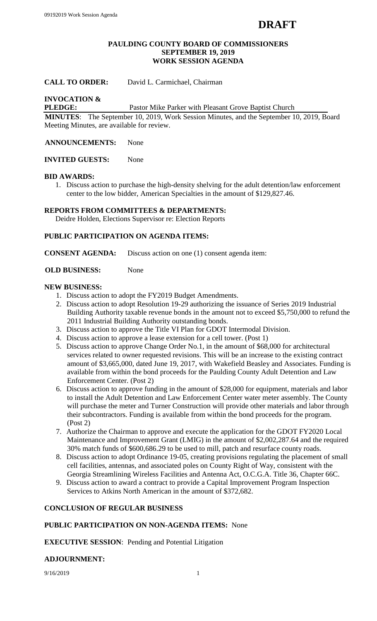#### **PAULDING COUNTY BOARD OF COMMISSIONERS SEPTEMBER 19, 2019 WORK SESSION AGENDA**

# **CALL TO ORDER:** David L. Carmichael, Chairman

# **INVOCATION &**

**PLEDGE:** Pastor Mike Parker with Pleasant Grove Baptist Church

**MINUTES**: The September 10, 2019, Work Session Minutes, and the September 10, 2019, Board Meeting Minutes, are available for review.

**ANNOUNCEMENTS:** None

**INVITED GUESTS:** None

#### **BID AWARDS:**

1. Discuss action to purchase the high-density shelving for the adult detention/law enforcement center to the low bidder, American Specialties in the amount of \$129,827.46.

## **REPORTS FROM COMMITTEES & DEPARTMENTS:**

Deidre Holden, Elections Supervisor re: Election Reports

## **PUBLIC PARTICIPATION ON AGENDA ITEMS:**

**CONSENT AGENDA:** Discuss action on one (1) consent agenda item:

#### **OLD BUSINESS:** None

#### **NEW BUSINESS:**

- 1. Discuss action to adopt the FY2019 Budget Amendments.
- 2. Discuss action to adopt Resolution 19-29 authorizing the issuance of Series 2019 Industrial Building Authority taxable revenue bonds in the amount not to exceed \$5,750,000 to refund the 2011 Industrial Building Authority outstanding bonds.
- 3. Discuss action to approve the Title VI Plan for GDOT Intermodal Division.
- 4. Discuss action to approve a lease extension for a cell tower. (Post 1)
- 5. Discuss action to approve Change Order No.1, in the amount of \$68,000 for architectural services related to owner requested revisions. This will be an increase to the existing contract amount of \$3,665,000, dated June 19, 2017, with Wakefield Beasley and Associates. Funding is available from within the bond proceeds for the Paulding County Adult Detention and Law Enforcement Center. (Post 2)
- 6. Discuss action to approve funding in the amount of \$28,000 for equipment, materials and labor to install the Adult Detention and Law Enforcement Center water meter assembly. The County will purchase the meter and Turner Construction will provide other materials and labor through their subcontractors. Funding is available from within the bond proceeds for the program. (Post 2)
- 7. Authorize the Chairman to approve and execute the application for the GDOT FY2020 Local Maintenance and Improvement Grant (LMIG) in the amount of \$2,002,287.64 and the required 30% match funds of \$600,686.29 to be used to mill, patch and resurface county roads.
- 8. Discuss action to adopt Ordinance 19-05, creating provisions regulating the placement of small cell facilities, antennas, and associated poles on County Right of Way, consistent with the Georgia Streamlining Wireless Facilities and Antenna Act, O.C.G.A. Title 36, Chapter 66C.
- 9. Discuss action to award a contract to provide a Capital Improvement Program Inspection Services to Atkins North American in the amount of \$372,682.

#### **CONCLUSION OF REGULAR BUSINESS**

#### **PUBLIC PARTICIPATION ON NON-AGENDA ITEMS:** None

**EXECUTIVE SESSION**: Pending and Potential Litigation

#### **ADJOURNMENT:**

9/16/2019 1